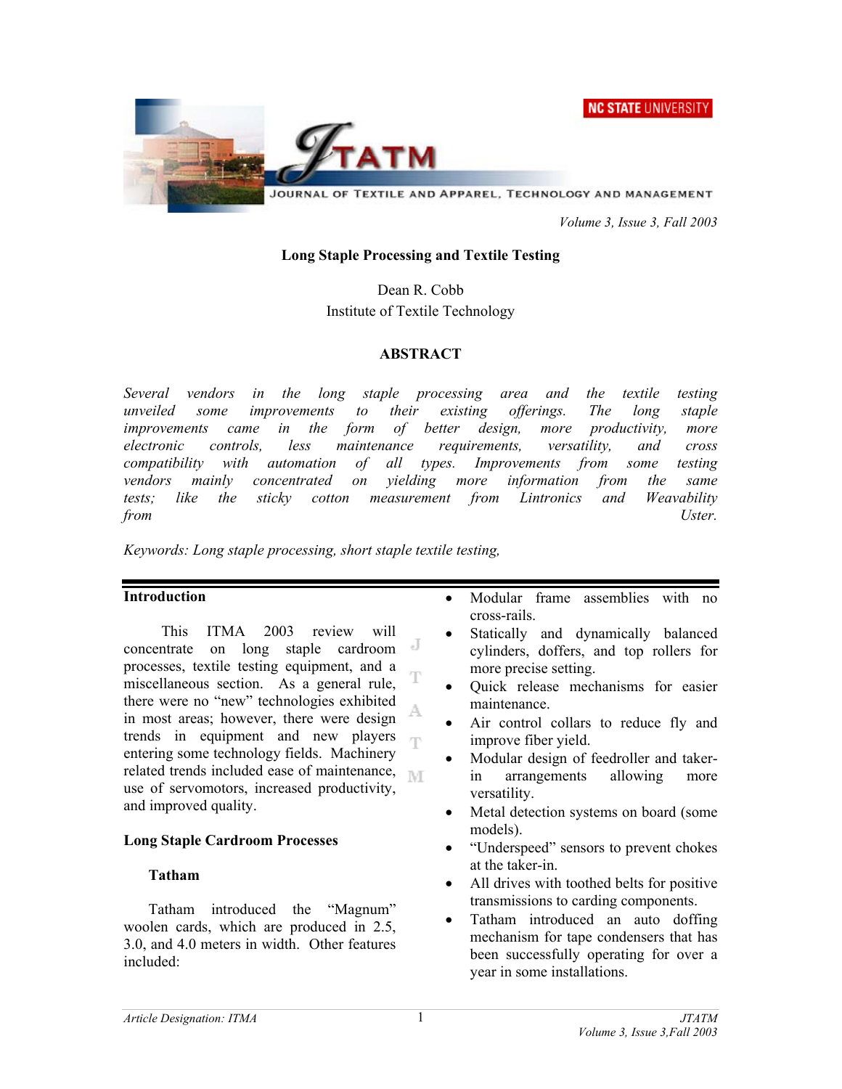NC STATE UNIVERSITY



JOURNAL OF TEXTILE AND APPAREL, TECHNOLOGY AND MANAGEMENT

 *Volume 3, Issue 3, Fall 2003* 

#### **Long Staple Processing and Textile Testing**

Dean R. Cobb Institute of Textile Technology

#### **ABSTRACT**

*Several vendors in the long staple processing area and the textile testing unveiled some improvements to their existing offerings. The long staple improvements came in the form of better design, more productivity, more electronic controls, less maintenance requirements, versatility, and cross compatibility with automation of all types. Improvements from some testing vendors mainly concentrated on yielding more information from the same tests; like the sticky cotton measurement from Lintronics and Weavability from Uster.* 

*Keywords: Long staple processing, short staple textile testing,* 

#### **Introduction**

This ITMA 2003 review will concentrate on long staple cardroom processes, textile testing equipment, and a miscellaneous section. As a general rule, there were no "new" technologies exhibited A in most areas; however, there were design trends in equipment and new players  $\overline{\mathbb{F}}$ entering some technology fields. Machinery related trends included ease of maintenance,  $\mathbb{N}$ use of servomotors, increased productivity, and improved quality.

## **Long Staple Cardroom Processes**

## **Tatham**

Tatham introduced the "Magnum" woolen cards, which are produced in 2.5, 3.0, and 4.0 meters in width. Other features included:

- Modular frame assemblies with no cross-rails.
- Statically and dynamically balanced cylinders, doffers, and top rollers for more precise setting.
- Quick release mechanisms for easier maintenance.
- Air control collars to reduce fly and improve fiber yield.
- Modular design of feedroller and takerin arrangements allowing more versatility.
- Metal detection systems on board (some models).
- "Underspeed" sensors to prevent chokes at the taker-in.
- All drives with toothed belts for positive transmissions to carding components.
- Tatham introduced an auto doffing mechanism for tape condensers that has been successfully operating for over a year in some installations.